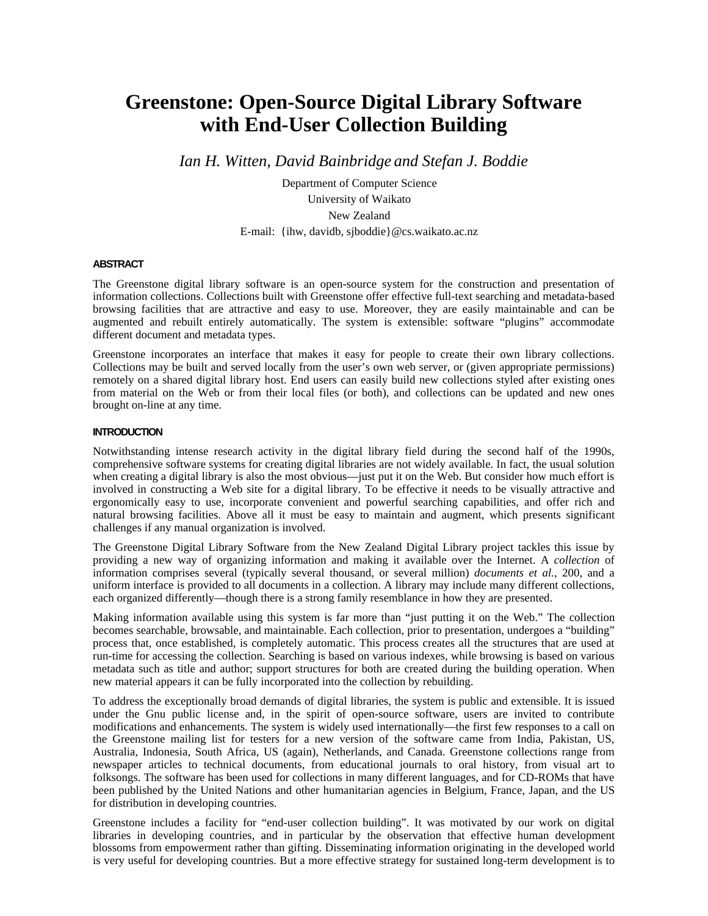# **Greenstone: Open-Source Digital Library Software with End-User Collection Building**

*Ian H. Witten, David Bainbridge and Stefan J. Boddie*

Department of Computer Science University of Waikato New Zealand E-mail: {ihw, davidb, sjboddie}@cs.waikato.ac.nz

## **ABSTRACT**

The Greenstone digital library software is an open-source system for the construction and presentation of information collections. Collections built with Greenstone offer effective full-text searching and metadata-based browsing facilities that are attractive and easy to use. Moreover, they are easily maintainable and can be augmented and rebuilt entirely automatically. The system is extensible: software "plugins" accommodate different document and metadata types.

Greenstone incorporates an interface that makes it easy for people to create their own library collections. Collections may be built and served locally from the user's own web server, or (given appropriate permissions) remotely on a shared digital library host. End users can easily build new collections styled after existing ones from material on the Web or from their local files (or both), and collections can be updated and new ones brought on-line at any time.

## **INTRODUCTION**

Notwithstanding intense research activity in the digital library field during the second half of the 1990s, comprehensive software systems for creating digital libraries are not widely available. In fact, the usual solution when creating a digital library is also the most obvious—just put it on the Web. But consider how much effort is involved in constructing a Web site for a digital library. To be effective it needs to be visually attractive and ergonomically easy to use, incorporate convenient and powerful searching capabilities, and offer rich and natural browsing facilities. Above all it must be easy to maintain and augment, which presents significant challenges if any manual organization is involved.

The Greenstone Digital Library Software from the New Zealand Digital Library project tackles this issue by providing a new way of organizing information and making it available over the Internet. A *collection* of information comprises several (typically several thousand, or several million) *documents et al.*, 200, and a uniform interface is provided to all documents in a collection. A library may include many different collections, each organized differently—though there is a strong family resemblance in how they are presented.

Making information available using this system is far more than "just putting it on the Web." The collection becomes searchable, browsable, and maintainable. Each collection, prior to presentation, undergoes a "building" process that, once established, is completely automatic. This process creates all the structures that are used at run-time for accessing the collection. Searching is based on various indexes, while browsing is based on various metadata such as title and author; support structures for both are created during the building operation. When new material appears it can be fully incorporated into the collection by rebuilding.

To address the exceptionally broad demands of digital libraries, the system is public and extensible. It is issued under the Gnu public license and, in the spirit of open-source software, users are invited to contribute modifications and enhancements. The system is widely used internationally—the first few responses to a call on the Greenstone mailing list for testers for a new version of the software came from India, Pakistan, US, Australia, Indonesia, South Africa, US (again), Netherlands, and Canada. Greenstone collections range from newspaper articles to technical documents, from educational journals to oral history, from visual art to folksongs. The software has been used for collections in many different languages, and for CD-ROMs that have been published by the United Nations and other humanitarian agencies in Belgium, France, Japan, and the US for distribution in developing countries.

Greenstone includes a facility for "end-user collection building". It was motivated by our work on digital libraries in developing countries, and in particular by the observation that effective human development blossoms from empowerment rather than gifting. Disseminating information originating in the developed world is very useful for developing countries. But a more effective strategy for sustained long-term development is to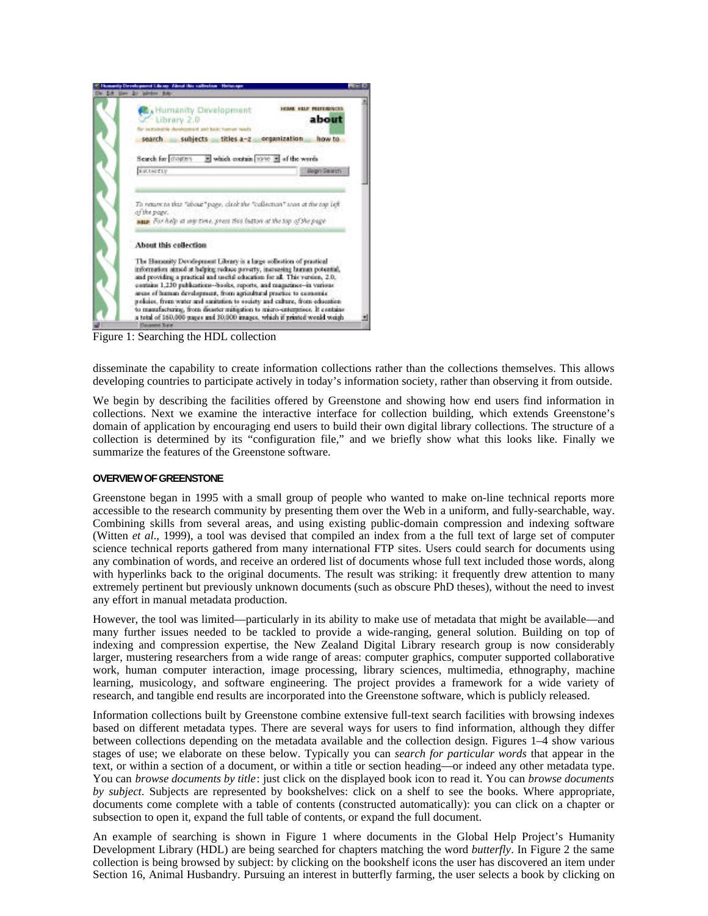| Ed. Man. By Ininten. Bob-                                                                                                                              |                                                            |
|--------------------------------------------------------------------------------------------------------------------------------------------------------|------------------------------------------------------------|
| <b>Ca</b> Humanity Development<br>C - Library 2.0<br>subjects<br>$t$ ities $a-z$<br>search                                                             | HOME HELP PRETURBINCES.<br>about<br>organization<br>how to |
| Search for diagnes.<br>in which contain 1000 in of the words                                                                                           |                                                            |
| <b>SOLDADELY</b>                                                                                                                                       | <b>Bigin Search</b>                                        |
| sure Exchelp at any time, prest this button at the top of the page                                                                                     |                                                            |
| To networks that "oboat" page, clask the "collection" annual the cop light                                                                             |                                                            |
| of the pigpy.<br>About this collection                                                                                                                 |                                                            |
| The Hammity Development Library is a large collection of practical                                                                                     |                                                            |
| information aimed at helping reduce perenty, increasing human potential,<br>and providing a practical and useful education for all. This version, 2.0, |                                                            |
| contains 1,230 publications-books, reports, and magazines-in various<br>areas of human development, from agricultural practice to economic             |                                                            |
| policies, from water and sanitation to occiety and culture, from education                                                                             |                                                            |
| to manufacturing, from deaster mitigation to mamo-enterprises. If contains<br>a total of 160,000 pages and 30,000 mages, which if printed would weigh. |                                                            |

Figure 1: Searching the HDL collection

disseminate the capability to create information collections rather than the collections themselves. This allows developing countries to participate actively in today's information society, rather than observing it from outside.

We begin by describing the facilities offered by Greenstone and showing how end users find information in collections. Next we examine the interactive interface for collection building, which extends Greenstone's domain of application by encouraging end users to build their own digital library collections. The structure of a collection is determined by its "configuration file," and we briefly show what this looks like. Finally we summarize the features of the Greenstone software.

# **OVERVIEW OF GREENSTONE**

Greenstone began in 1995 with a small group of people who wanted to make on-line technical reports more accessible to the research community by presenting them over the Web in a uniform, and fully-searchable, way. Combining skills from several areas, and using existing public-domain compression and indexing software (Witten *et al*., 1999), a tool was devised that compiled an index from a the full text of large set of computer science technical reports gathered from many international FTP sites. Users could search for documents using any combination of words, and receive an ordered list of documents whose full text included those words, along with hyperlinks back to the original documents. The result was striking: it frequently drew attention to many extremely pertinent but previously unknown documents (such as obscure PhD theses), without the need to invest any effort in manual metadata production.

However, the tool was limited—particularly in its ability to make use of metadata that might be available—and many further issues needed to be tackled to provide a wide-ranging, general solution. Building on top of indexing and compression expertise, the New Zealand Digital Library research group is now considerably larger, mustering researchers from a wide range of areas: computer graphics, computer supported collaborative work, human computer interaction, image processing, library sciences, multimedia, ethnography, machine learning, musicology, and software engineering. The project provides a framework for a wide variety of research, and tangible end results are incorporated into the Greenstone software, which is publicly released.

Information collections built by Greenstone combine extensive full-text search facilities with browsing indexes based on different metadata types. There are several ways for users to find information, although they differ between collections depending on the metadata available and the collection design. Figures 1–4 show various stages of use; we elaborate on these below. Typically you can *search for particular words* that appear in the text, or within a section of a document, or within a title or section heading—or indeed any other metadata type. You can *browse documents by title*: just click on the displayed book icon to read it. You can *browse documents by subject*. Subjects are represented by bookshelves: click on a shelf to see the books. Where appropriate, documents come complete with a table of contents (constructed automatically): you can click on a chapter or subsection to open it, expand the full table of contents, or expand the full document.

An example of searching is shown in Figure 1 where documents in the Global Help Project's Humanity Development Library (HDL) are being searched for chapters matching the word *butterfly*. In Figure 2 the same collection is being browsed by subject: by clicking on the bookshelf icons the user has discovered an item under Section 16, Animal Husbandry. Pursuing an interest in butterfly farming, the user selects a book by clicking on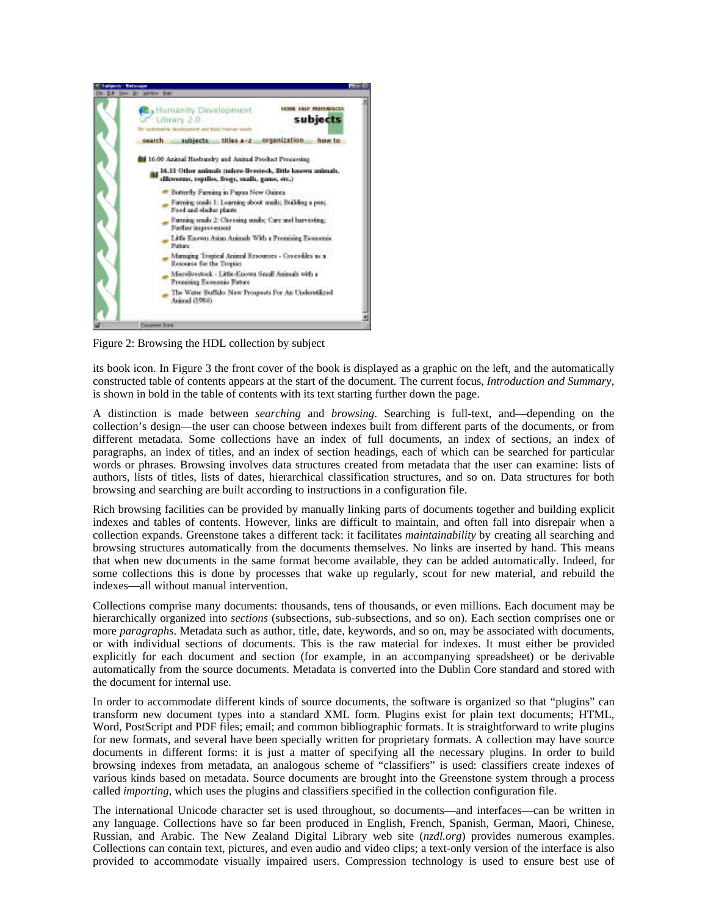

Figure 2: Browsing the HDL collection by subject

its book icon. In Figure 3 the front cover of the book is displayed as a graphic on the left, and the automatically constructed table of contents appears at the start of the document. The current focus, *Introduction and Summary*, is shown in bold in the table of contents with its text starting further down the page.

A distinction is made between *searching* and *browsing*. Searching is full-text, and—depending on the collection's design—the user can choose between indexes built from different parts of the documents, or from different metadata. Some collections have an index of full documents, an index of sections, an index of paragraphs, an index of titles, and an index of section headings, each of which can be searched for particular words or phrases. Browsing involves data structures created from metadata that the user can examine: lists of authors, lists of titles, lists of dates, hierarchical classification structures, and so on. Data structures for both browsing and searching are built according to instructions in a configuration file.

Rich browsing facilities can be provided by manually linking parts of documents together and building explicit indexes and tables of contents. However, links are difficult to maintain, and often fall into disrepair when a collection expands. Greenstone takes a different tack: it facilitates *maintainability* by creating all searching and browsing structures automatically from the documents themselves. No links are inserted by hand. This means that when new documents in the same format become available, they can be added automatically. Indeed, for some collections this is done by processes that wake up regularly, scout for new material, and rebuild the indexes—all without manual intervention.

Collections comprise many documents: thousands, tens of thousands, or even millions. Each document may be hierarchically organized into *sections* (subsections, sub-subsections, and so on). Each section comprises one or more *paragraphs*. Metadata such as author, title, date, keywords, and so on, may be associated with documents, or with individual sections of documents. This is the raw material for indexes. It must either be provided explicitly for each document and section (for example, in an accompanying spreadsheet) or be derivable automatically from the source documents. Metadata is converted into the Dublin Core standard and stored with the document for internal use.

In order to accommodate different kinds of source documents, the software is organized so that "plugins" can transform new document types into a standard XML form. Plugins exist for plain text documents; HTML, Word, PostScript and PDF files; email; and common bibliographic formats. It is straightforward to write plugins for new formats, and several have been specially written for proprietary formats. A collection may have source documents in different forms: it is just a matter of specifying all the necessary plugins. In order to build browsing indexes from metadata, an analogous scheme of "classifiers" is used: classifiers create indexes of various kinds based on metadata. Source documents are brought into the Greenstone system through a process called *importing*, which uses the plugins and classifiers specified in the collection configuration file.

The international Unicode character set is used throughout, so documents—and interfaces—can be written in any language. Collections have so far been produced in English, French, Spanish, German, Maori, Chinese, Russian, and Arabic. The New Zealand Digital Library web site (*nzdl.org*) provides numerous examples. Collections can contain text, pictures, and even audio and video clips; a text-only version of the interface is also provided to accommodate visually impaired users. Compression technology is used to ensure best use of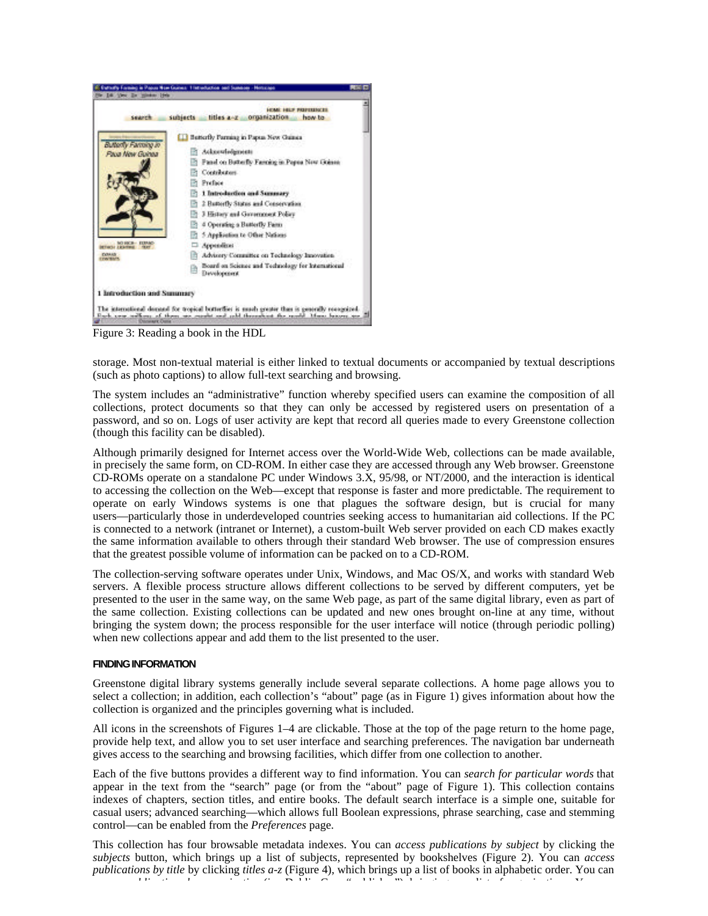

Figure 3: Reading a book in the HDL

storage. Most non-textual material is either linked to textual documents or accompanied by textual descriptions (such as photo captions) to allow full-text searching and browsing.

The system includes an "administrative" function whereby specified users can examine the composition of all collections, protect documents so that they can only be accessed by registered users on presentation of a password, and so on. Logs of user activity are kept that record all queries made to every Greenstone collection (though this facility can be disabled).

Although primarily designed for Internet access over the World-Wide Web, collections can be made available, in precisely the same form, on CD-ROM. In either case they are accessed through any Web browser. Greenstone CD-ROMs operate on a standalone PC under Windows 3.X, 95/98, or NT/2000, and the interaction is identical to accessing the collection on the Web—except that response is faster and more predictable. The requirement to operate on early Windows systems is one that plagues the software design, but is crucial for many users—particularly those in underdeveloped countries seeking access to humanitarian aid collections. If the PC is connected to a network (intranet or Internet), a custom-built Web server provided on each CD makes exactly the same information available to others through their standard Web browser. The use of compression ensures that the greatest possible volume of information can be packed on to a CD-ROM.

The collection-serving software operates under Unix, Windows, and Mac OS/X, and works with standard Web servers. A flexible process structure allows different collections to be served by different computers, yet be presented to the user in the same way, on the same Web page, as part of the same digital library, even as part of the same collection. Existing collections can be updated and new ones brought on-line at any time, without bringing the system down; the process responsible for the user interface will notice (through periodic polling) when new collections appear and add them to the list presented to the user.

# **FINDING INFORMATION**

Greenstone digital library systems generally include several separate collections. A home page allows you to select a collection; in addition, each collection's "about" page (as in Figure 1) gives information about how the collection is organized and the principles governing what is included.

All icons in the screenshots of Figures 1–4 are clickable. Those at the top of the page return to the home page, provide help text, and allow you to set user interface and searching preferences. The navigation bar underneath gives access to the searching and browsing facilities, which differ from one collection to another.

Each of the five buttons provides a different way to find information. You can *search for particular words* that appear in the text from the "search" page (or from the "about" page of Figure 1). This collection contains indexes of chapters, section titles, and entire books. The default search interface is a simple one, suitable for casual users; advanced searching—which allows full Boolean expressions, phrase searching, case and stemming control—can be enabled from the *Preferences* page.

This collection has four browsable metadata indexes. You can *access publications by subject* by clicking the *subjects* button, which brings up a list of subjects, represented by bookshelves (Figure 2). You can *access publications by title* by clicking *titles a-z* (Figure 4), which brings up a list of books in alphabetic order. You can *access publications by organization* (i.e. Dublin Core "publisher"), bringing up a list of organizations. You can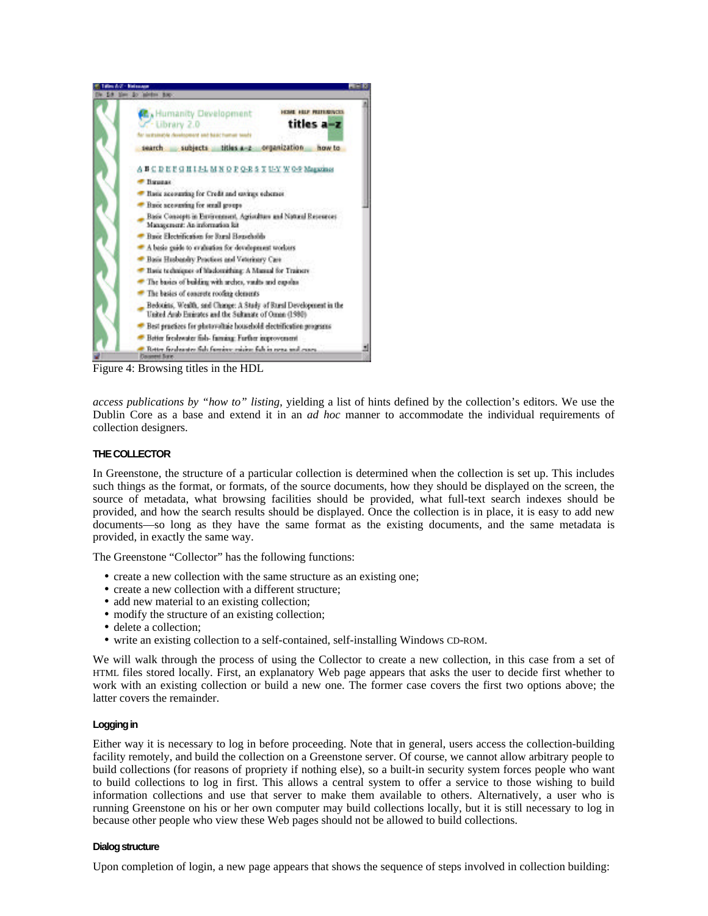

Figure 4: Browsing titles in the HDL

*access publications by "how to" listing*, yielding a list of hints defined by the collection's editors. We use the Dublin Core as a base and extend it in an *ad hoc* manner to accommodate the individual requirements of collection designers.

## **THE COLLECTOR**

In Greenstone, the structure of a particular collection is determined when the collection is set up. This includes such things as the format, or formats, of the source documents, how they should be displayed on the screen, the source of metadata, what browsing facilities should be provided, what full-text search indexes should be provided, and how the search results should be displayed. Once the collection is in place, it is easy to add new documents—so long as they have the same format as the existing documents, and the same metadata is provided, in exactly the same way.

The Greenstone "Collector" has the following functions:

- create a new collection with the same structure as an existing one;
- create a new collection with a different structure;
- add new material to an existing collection;
- modify the structure of an existing collection;
- delete a collection;
- write an existing collection to a self-contained, self-installing Windows CD-ROM.

We will walk through the process of using the Collector to create a new collection, in this case from a set of HTML files stored locally. First, an explanatory Web page appears that asks the user to decide first whether to work with an existing collection or build a new one. The former case covers the first two options above; the latter covers the remainder.

# **Logging in**

Either way it is necessary to log in before proceeding. Note that in general, users access the collection-building facility remotely, and build the collection on a Greenstone server. Of course, we cannot allow arbitrary people to build collections (for reasons of propriety if nothing else), so a built-in security system forces people who want to build collections to log in first. This allows a central system to offer a service to those wishing to build information collections and use that server to make them available to others. Alternatively, a user who is running Greenstone on his or her own computer may build collections locally, but it is still necessary to log in because other people who view these Web pages should not be allowed to build collections.

#### **Dialog structure**

Upon completion of login, a new page appears that shows the sequence of steps involved in collection building: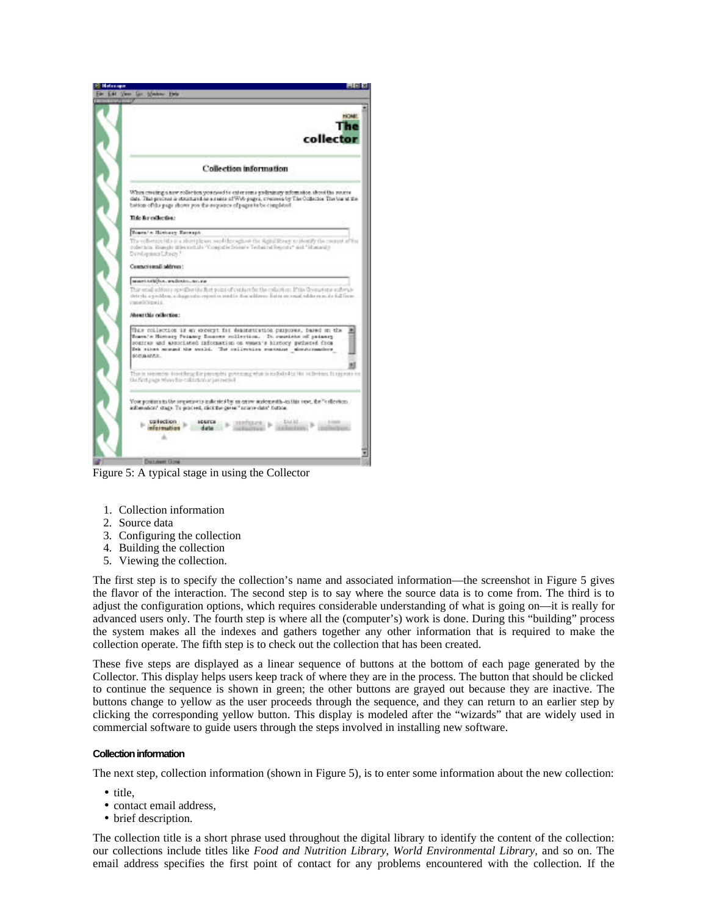

Figure 5: A typical stage in using the Collector

- 1. Collection information
- 2. Source data
- 3. Configuring the collection
- 4. Building the collection
- 5. Viewing the collection.

The first step is to specify the collection's name and associated information—the screenshot in Figure 5 gives the flavor of the interaction. The second step is to say where the source data is to come from. The third is to adjust the configuration options, which requires considerable understanding of what is going on—it is really for advanced users only. The fourth step is where all the (computer's) work is done. During this "building" process the system makes all the indexes and gathers together any other information that is required to make the collection operate. The fifth step is to check out the collection that has been created.

These five steps are displayed as a linear sequence of buttons at the bottom of each page generated by the Collector. This display helps users keep track of where they are in the process. The button that should be clicked to continue the sequence is shown in green; the other buttons are grayed out because they are inactive. The buttons change to yellow as the user proceeds through the sequence, and they can return to an earlier step by clicking the corresponding yellow button. This display is modeled after the "wizards" that are widely used in commercial software to guide users through the steps involved in installing new software.

# **Collection information**

The next step, collection information (shown in Figure 5), is to enter some information about the new collection:

- title,
- contact email address,
- brief description.

The collection title is a short phrase used throughout the digital library to identify the content of the collection: our collections include titles like *Food and Nutrition Library*, *World Environmental Library*, and so on. The email address specifies the first point of contact for any problems encountered with the collection. If the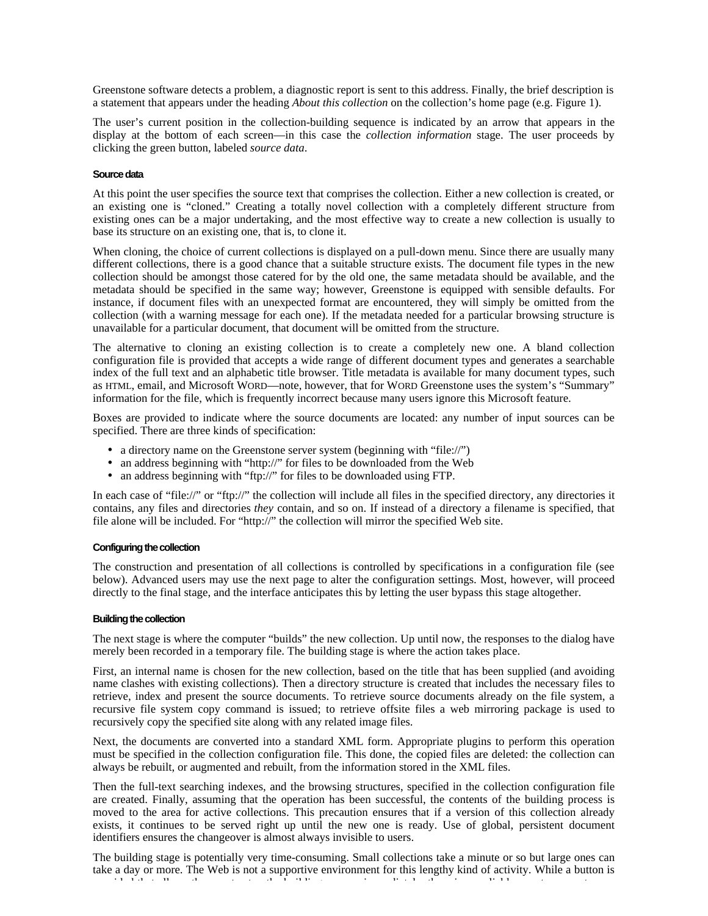Greenstone software detects a problem, a diagnostic report is sent to this address. Finally, the brief description is a statement that appears under the heading *About this collection* on the collection's home page (e.g. Figure 1).

The user's current position in the collection-building sequence is indicated by an arrow that appears in the display at the bottom of each screen—in this case the *collection information* stage. The user proceeds by clicking the green button, labeled *source data*.

## **Source data**

At this point the user specifies the source text that comprises the collection. Either a new collection is created, or an existing one is "cloned." Creating a totally novel collection with a completely different structure from existing ones can be a major undertaking, and the most effective way to create a new collection is usually to base its structure on an existing one, that is, to clone it.

When cloning, the choice of current collections is displayed on a pull-down menu. Since there are usually many different collections, there is a good chance that a suitable structure exists. The document file types in the new collection should be amongst those catered for by the old one, the same metadata should be available, and the metadata should be specified in the same way; however, Greenstone is equipped with sensible defaults. For instance, if document files with an unexpected format are encountered, they will simply be omitted from the collection (with a warning message for each one). If the metadata needed for a particular browsing structure is unavailable for a particular document, that document will be omitted from the structure.

The alternative to cloning an existing collection is to create a completely new one. A bland collection configuration file is provided that accepts a wide range of different document types and generates a searchable index of the full text and an alphabetic title browser. Title metadata is available for many document types, such as HTML, email, and Microsoft WORD—note, however, that for WORD Greenstone uses the system's "Summary" information for the file, which is frequently incorrect because many users ignore this Microsoft feature.

Boxes are provided to indicate where the source documents are located: any number of input sources can be specified. There are three kinds of specification:

- a directory name on the Greenstone server system (beginning with "file://")
- an address beginning with "http://" for files to be downloaded from the Web
- an address beginning with "ftp://" for files to be downloaded using FTP.

In each case of "file://" or "ftp://" the collection will include all files in the specified directory, any directories it contains, any files and directories *they* contain, and so on. If instead of a directory a filename is specified, that file alone will be included. For "http://" the collection will mirror the specified Web site.

## **Configuring the collection**

The construction and presentation of all collections is controlled by specifications in a configuration file (see below). Advanced users may use the next page to alter the configuration settings. Most, however, will proceed directly to the final stage, and the interface anticipates this by letting the user bypass this stage altogether.

#### **Building the collection**

The next stage is where the computer "builds" the new collection. Up until now, the responses to the dialog have merely been recorded in a temporary file. The building stage is where the action takes place.

First, an internal name is chosen for the new collection, based on the title that has been supplied (and avoiding name clashes with existing collections). Then a directory structure is created that includes the necessary files to retrieve, index and present the source documents. To retrieve source documents already on the file system, a recursive file system copy command is issued; to retrieve offsite files a web mirroring package is used to recursively copy the specified site along with any related image files.

Next, the documents are converted into a standard XML form. Appropriate plugins to perform this operation must be specified in the collection configuration file. This done, the copied files are deleted: the collection can always be rebuilt, or augmented and rebuilt, from the information stored in the XML files.

Then the full-text searching indexes, and the browsing structures, specified in the collection configuration file are created. Finally, assuming that the operation has been successful, the contents of the building process is moved to the area for active collections. This precaution ensures that if a version of this collection already exists, it continues to be served right up until the new one is ready. Use of global, persistent document identifiers ensures the changeover is almost always invisible to users.

The building stage is potentially very time-consuming. Small collections take a minute or so but large ones can take a day or more. The Web is not a supportive environment for this lengthy kind of activity. While a button is provided that allows the user to stop the building process immediately, there is no reliable way to prevent users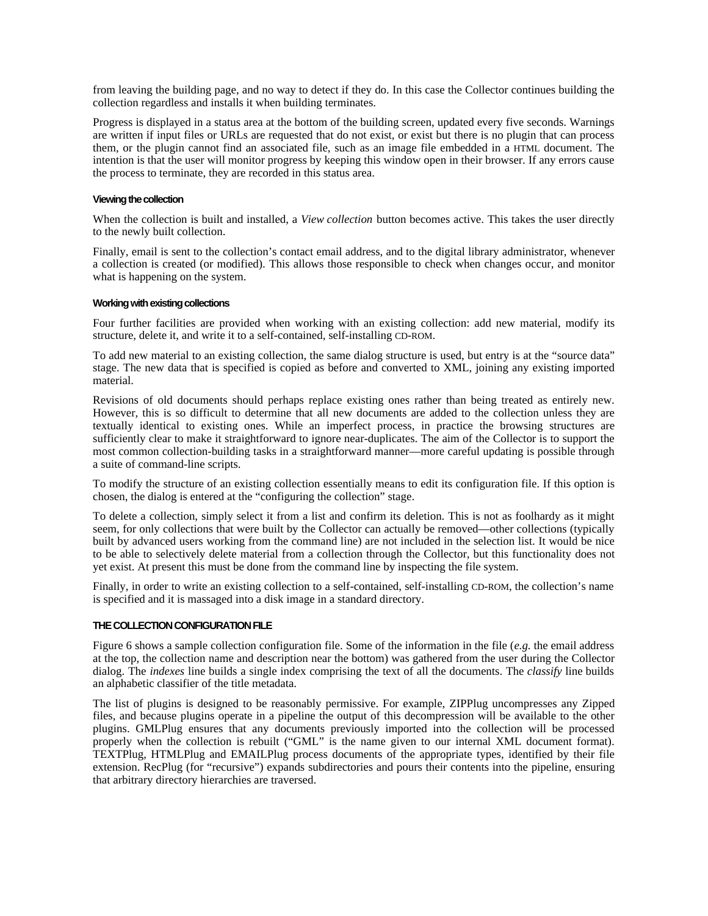from leaving the building page, and no way to detect if they do. In this case the Collector continues building the collection regardless and installs it when building terminates.

Progress is displayed in a status area at the bottom of the building screen, updated every five seconds. Warnings are written if input files or URLs are requested that do not exist, or exist but there is no plugin that can process them, or the plugin cannot find an associated file, such as an image file embedded in a HTML document. The intention is that the user will monitor progress by keeping this window open in their browser. If any errors cause the process to terminate, they are recorded in this status area.

## **Viewing the collection**

When the collection is built and installed, a *View collection* button becomes active. This takes the user directly to the newly built collection.

Finally, email is sent to the collection's contact email address, and to the digital library administrator, whenever a collection is created (or modified). This allows those responsible to check when changes occur, and monitor what is happening on the system.

## **Working with existing collections**

Four further facilities are provided when working with an existing collection: add new material, modify its structure, delete it, and write it to a self-contained, self-installing CD-ROM.

To add new material to an existing collection, the same dialog structure is used, but entry is at the "source data" stage. The new data that is specified is copied as before and converted to XML, joining any existing imported material.

Revisions of old documents should perhaps replace existing ones rather than being treated as entirely new. However, this is so difficult to determine that all new documents are added to the collection unless they are textually identical to existing ones. While an imperfect process, in practice the browsing structures are sufficiently clear to make it straightforward to ignore near-duplicates. The aim of the Collector is to support the most common collection-building tasks in a straightforward manner—more careful updating is possible through a suite of command-line scripts.

To modify the structure of an existing collection essentially means to edit its configuration file. If this option is chosen, the dialog is entered at the "configuring the collection" stage.

To delete a collection, simply select it from a list and confirm its deletion. This is not as foolhardy as it might seem, for only collections that were built by the Collector can actually be removed—other collections (typically built by advanced users working from the command line) are not included in the selection list. It would be nice to be able to selectively delete material from a collection through the Collector, but this functionality does not yet exist. At present this must be done from the command line by inspecting the file system.

Finally, in order to write an existing collection to a self-contained, self-installing CD-ROM, the collection's name is specified and it is massaged into a disk image in a standard directory.

#### **THE COLLECTION CONFIGURATION FILE**

Figure 6 shows a sample collection configuration file. Some of the information in the file (*e.g.* the email address at the top, the collection name and description near the bottom) was gathered from the user during the Collector dialog. The *indexes* line builds a single index comprising the text of all the documents. The *classify* line builds an alphabetic classifier of the title metadata.

The list of plugins is designed to be reasonably permissive. For example, ZIPPlug uncompresses any Zipped files, and because plugins operate in a pipeline the output of this decompression will be available to the other plugins. GMLPlug ensures that any documents previously imported into the collection will be processed properly when the collection is rebuilt ("GML" is the name given to our internal XML document format). TEXTPlug, HTMLPlug and EMAILPlug process documents of the appropriate types, identified by their file extension. RecPlug (for "recursive") expands subdirectories and pours their contents into the pipeline, ensuring that arbitrary directory hierarchies are traversed.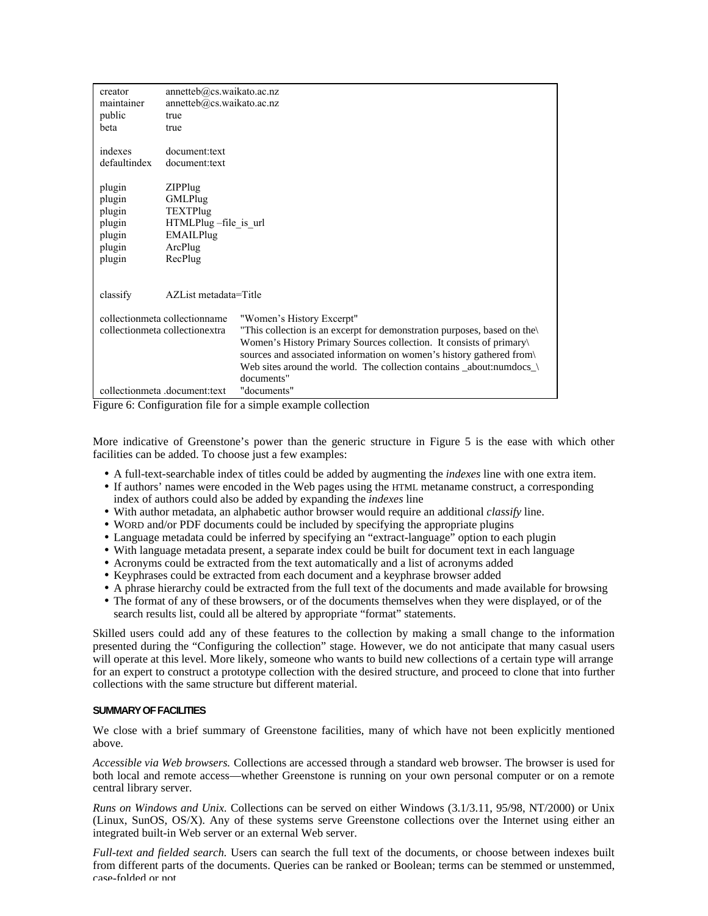| creator<br>maintainer          | annetteb $(a)$ cs.waikato.ac.nz<br>annetteb $(a)$ cs.waikato.ac.nz |                                                                         |  |
|--------------------------------|--------------------------------------------------------------------|-------------------------------------------------------------------------|--|
| public                         | true                                                               |                                                                         |  |
| beta                           | true                                                               |                                                                         |  |
|                                |                                                                    |                                                                         |  |
| indexes                        | document:text                                                      |                                                                         |  |
| defaultindex                   | document:text                                                      |                                                                         |  |
|                                |                                                                    |                                                                         |  |
| plugin                         | <b>ZIPPlug</b>                                                     |                                                                         |  |
| plugin                         | <b>GMLPlug</b>                                                     |                                                                         |  |
| plugin                         | <b>TEXTPlug</b>                                                    |                                                                         |  |
| plugin                         | HTMLPlug-file is url                                               |                                                                         |  |
| plugin                         | EMAILPlug                                                          |                                                                         |  |
| plugin                         | ArcPlug                                                            |                                                                         |  |
| plugin                         | RecPlug                                                            |                                                                         |  |
|                                |                                                                    |                                                                         |  |
|                                |                                                                    |                                                                         |  |
| classify                       | AZL ist metadata=Title                                             |                                                                         |  |
|                                |                                                                    |                                                                         |  |
|                                | collectionmeta collectionname                                      | "Women's History Excerpt"                                               |  |
| collectionmeta collectionextra |                                                                    | "This collection is an excerpt for demonstration purposes, based on the |  |
|                                |                                                                    | Women's History Primary Sources collection. It consists of primary      |  |
|                                |                                                                    | sources and associated information on women's history gathered from\    |  |
|                                |                                                                    | Web sites around the world. The collection contains _about:numdocs_\    |  |
|                                |                                                                    | documents"                                                              |  |
|                                | collectionmeta .document:text                                      | "documents"                                                             |  |
|                                |                                                                    | Figure 6: Configuration file for a simple example collection            |  |

More indicative of Greenstone's power than the generic structure in Figure 5 is the ease with which other facilities can be added. To choose just a few examples:

- A full-text-searchable index of titles could be added by augmenting the *indexes* line with one extra item.
- If authors' names were encoded in the Web pages using the HTML metaname construct, a corresponding index of authors could also be added by expanding the *indexes* line
- With author metadata, an alphabetic author browser would require an additional *classify* line.
- WORD and/or PDF documents could be included by specifying the appropriate plugins
- Language metadata could be inferred by specifying an "extract-language" option to each plugin
- With language metadata present, a separate index could be built for document text in each language
- Acronyms could be extracted from the text automatically and a list of acronyms added
- Keyphrases could be extracted from each document and a keyphrase browser added
- A phrase hierarchy could be extracted from the full text of the documents and made available for browsing
- The format of any of these browsers, or of the documents themselves when they were displayed, or of the search results list, could all be altered by appropriate "format" statements.

Skilled users could add any of these features to the collection by making a small change to the information presented during the "Configuring the collection" stage. However, we do not anticipate that many casual users will operate at this level. More likely, someone who wants to build new collections of a certain type will arrange for an expert to construct a prototype collection with the desired structure, and proceed to clone that into further collections with the same structure but different material.

#### **SUMMARY OF FACILITIES**

We close with a brief summary of Greenstone facilities, many of which have not been explicitly mentioned above.

*Accessible via Web browsers.* Collections are accessed through a standard web browser. The browser is used for both local and remote access—whether Greenstone is running on your own personal computer or on a remote central library server.

*Runs on Windows and Unix.* Collections can be served on either Windows (3.1/3.11, 95/98, NT/2000) or Unix (Linux, SunOS, OS/X). Any of these systems serve Greenstone collections over the Internet using either an integrated built-in Web server or an external Web server.

*Full-text and fielded search.* Users can search the full text of the documents, or choose between indexes built from different parts of the documents. Queries can be ranked or Boolean; terms can be stemmed or unstemmed, case-folded or not.